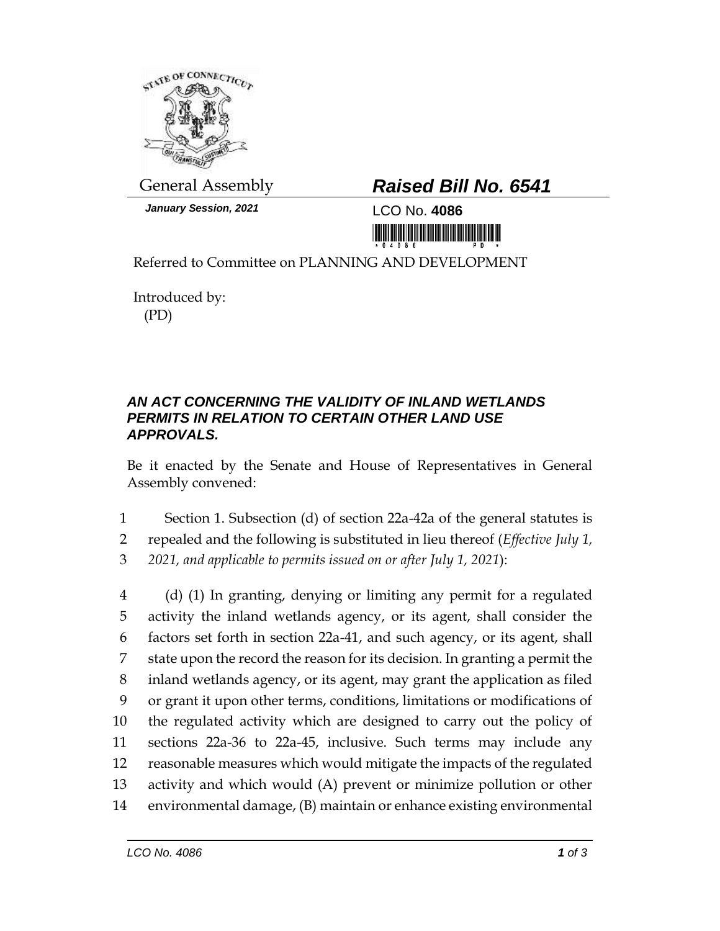

*January Session, 2021* LCO No. **4086**

## General Assembly *Raised Bill No. 6541*

<u> III AN DI HITA NA MATA NA MATATA NA MATATA NA MATATA NA MATATA NA MATATA NA MATATA NA MATATA NA MATATA NA MATA</u>

Referred to Committee on PLANNING AND DEVELOPMENT

Introduced by: (PD)

## *AN ACT CONCERNING THE VALIDITY OF INLAND WETLANDS PERMITS IN RELATION TO CERTAIN OTHER LAND USE APPROVALS.*

Be it enacted by the Senate and House of Representatives in General Assembly convened:

1 Section 1. Subsection (d) of section 22a-42a of the general statutes is

2 repealed and the following is substituted in lieu thereof (*Effective July 1,* 

3 *2021, and applicable to permits issued on or after July 1, 2021*):

 (d) (1) In granting, denying or limiting any permit for a regulated activity the inland wetlands agency, or its agent, shall consider the factors set forth in section 22a-41, and such agency, or its agent, shall state upon the record the reason for its decision. In granting a permit the inland wetlands agency, or its agent, may grant the application as filed or grant it upon other terms, conditions, limitations or modifications of the regulated activity which are designed to carry out the policy of sections 22a-36 to 22a-45, inclusive. Such terms may include any reasonable measures which would mitigate the impacts of the regulated activity and which would (A) prevent or minimize pollution or other environmental damage, (B) maintain or enhance existing environmental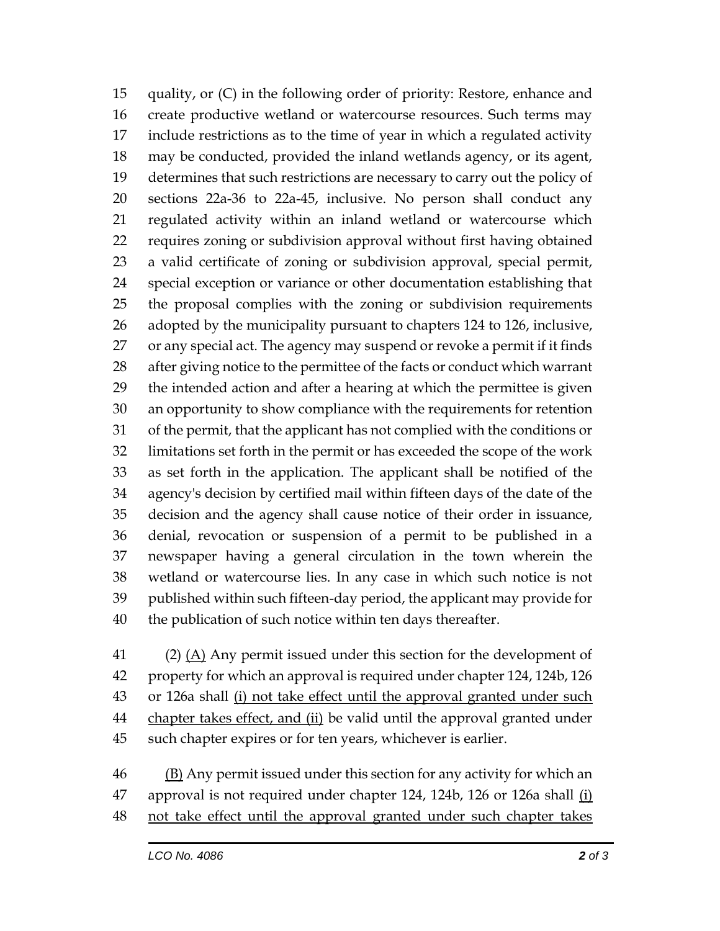quality, or (C) in the following order of priority: Restore, enhance and create productive wetland or watercourse resources. Such terms may include restrictions as to the time of year in which a regulated activity may be conducted, provided the inland wetlands agency, or its agent, determines that such restrictions are necessary to carry out the policy of sections 22a-36 to 22a-45, inclusive. No person shall conduct any regulated activity within an inland wetland or watercourse which requires zoning or subdivision approval without first having obtained a valid certificate of zoning or subdivision approval, special permit, special exception or variance or other documentation establishing that the proposal complies with the zoning or subdivision requirements adopted by the municipality pursuant to chapters 124 to 126, inclusive, or any special act. The agency may suspend or revoke a permit if it finds after giving notice to the permittee of the facts or conduct which warrant the intended action and after a hearing at which the permittee is given an opportunity to show compliance with the requirements for retention of the permit, that the applicant has not complied with the conditions or limitations set forth in the permit or has exceeded the scope of the work as set forth in the application. The applicant shall be notified of the agency's decision by certified mail within fifteen days of the date of the decision and the agency shall cause notice of their order in issuance, denial, revocation or suspension of a permit to be published in a newspaper having a general circulation in the town wherein the wetland or watercourse lies. In any case in which such notice is not published within such fifteen-day period, the applicant may provide for the publication of such notice within ten days thereafter.

 (2) (A) Any permit issued under this section for the development of property for which an approval is required under chapter 124, 124b, 126 or 126a shall (i) not take effect until the approval granted under such 44 chapter takes effect, and (ii) be valid until the approval granted under such chapter expires or for ten years, whichever is earlier.

 (B) Any permit issued under this section for any activity for which an approval is not required under chapter 124, 124b, 126 or 126a shall (i) not take effect until the approval granted under such chapter takes